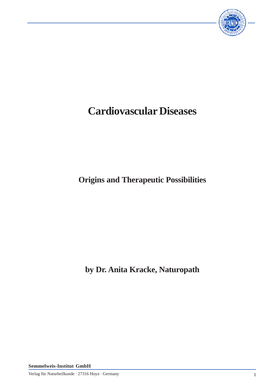

# **Cardiovascular Diseases**

**Origins and Therapeutic Possibilities**

**by Dr. Anita Kracke, Naturopath**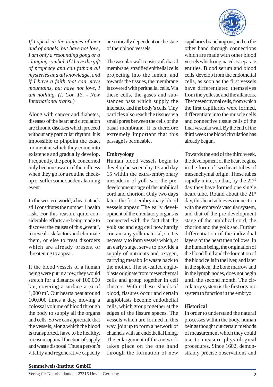

*If I speak in the tongues of men and of angels, but have not love, I am only a resounding gong or a clanging cymbal. If I have the gift of prophecy and can fathom all mysteries and all knowledge, and if I have a faith that can move mountains, but have not love, I am nothing. (I. Cor. 13. - New International transl.)*

Along with cancer and diabetes, diseases of the heart and circulation are chronic diseases which proceed without any particular rhythm. It is impossible to pinpoint the exact moment at which they come into existence and gradually develop. Frequently, the people concerned only become aware of their illness when they go for a routine checkup or suffer some sudden alarming event.

In the western world, a heart attack still constitutes the number 1 health risk. For this reason, quite considerable efforts are being made to discover the causes of this ..event". to reveal risk factors and eliminate them, or else to treat disorders which are already present or threatening to appear.

If the blood vessels of a human being were put in a row, they would stretch for a distance of 100,000 km, covering a surface area of 1,000 m<sup>2</sup> . Our hearts beat around 100,000 times a day, moving a colossal volume of blood through the body to supply all the organs and cells. So we can appreciate that the vessels, along which the blood is transported, have to be healthy, to ensure optimal function of supply and waste disposal. Thus a person's vitality and regenerative capacity

are critically dependent on the state of their blood vessels.

The vascular wall consists of a basal membrane, stratified epithelial cells projecting into the lumen, and towards the tissues, the membrane is covered with perithelial cells. Via these cells, the gases and substances pass which supply the interstice and the body's cells. Tiny particles also reach the tissues via small pores between the cells of the basal membrane. It is therefore extremely important that this passage is permeable.

## **Embryology**

Human blood vessels begin to develop between day 13 and day 15 within the extra-embryonary mesoderm of yolk sac, the predevelopment stage of the umbilical cord and chorion. Only two days later, the first embryonary blood vessels appear. The early development of the circulatory organs is connected with the fact that the yolk sac and egg cell now hardly contain any yolk material, so it is necessary to form vessels which, at an early stage, serve to provide a supply of nutrients and oxygen, carrying metabolic waste back to the mother. The so-called angioblasts originate from mesenchymal cells and group together in cell clusters. Within these islands of blood, fissures occur and certain angioblasts become endothelial cells, which group together at the edges of the fissure spaces. The vessels which are formed in this way, join up to form a network of channels with an endothelial lining. The enlargement of this network takes place on the one hand through the formation of new

capillaries branching out, and on the other hand through connections which are made with other blood vessels which originated as separate entities. Blood serum and blood cells develop from the endothelial cells, as soon as the first vessels have differentiated themselves from the yolk sac and the allantois. The mesenchymal cells, from which the first capillaries were formed, differentiate into the muscle cells and connective tissue cells of the final vascular wall. By the end of the third week the blood circulation has already begun.

Towards the end of the third week, the development of the heart begins, in the form of two heart tubes of mesenchymal origin. These tubes rapidly unite, so that, by the 22nd day they have formed one single heart tube. Round about the 21<sup>st</sup> day, this heart achieves connection with the embryo's vascular system, and that of the pre-development stage of the umbilical cord, the chorion and the yolk sac. Further differentiation of the individual layers of the heart then follows. In the human being, the origination of the blood fluid and the formation of the blood cells in the liver, and later in the spleen, the bone marrow and in the lymph nodes, does not begin until the second month. The circulatory system is the first organic system to function in the embryo.

# **Historical**

In order to understand the natural processes within the body, human beings thought out certain methods of measurement which they could use to measure physiological procedures. Since 1602, demonstrably precise observations and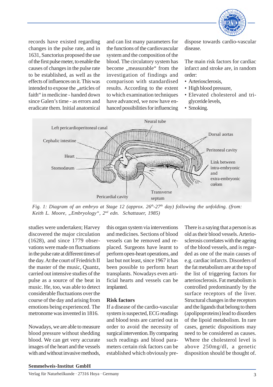

records have existed regarding changes in the pulse rate, and in 1631, Sanctorius proposed the use of the first pulse meter, to enable the causes of changes in the pulse rate to be established, as well as the effects of influences on it. This was intended to expose the "articles of faith" in medicine - handed down since Galen's time - as errors and eradicate them. Initial anatomical

and can list many parameters for the functions of the cardiovascular system and the composition of the blood. The circulatory system has become "measurable" from the investigation of findings and comparison with standardised results. According to the extent to which examination techniques have advanced, we now have enhanced possibilities for influencing

dispose towards cardio-vascular disease.

The main risk factors for cardiac infarct and stroke are, in random order:

- Arteriosclerosis,
- High blood pressure,
- Elevated cholesterol and triglyceride levels,
- Smoking.



*Fig. 1: Diagram of an embryo at Stage 12 (approx. 26th-27th day) following the unfolding. (from: Keith L. Moore, "Embryology", 2nd edn. Schattauer, 1985)*

studies were undertaken; Harvey discovered the major circulation (1628), and since 1779 observations were made on fluctuations in the pulse rate at different times of the day. At the court of Friedrich II the master of the music, Quantz, carried out intensive studies of the pulse as a source of the beat in music. He, too, was able to detect considerable fluctuations over the course of the day and arising from emotions being experienced. The metronome was invented in 1816.

Nowadays, we are able to measure blood pressure without shedding blood. We can get very accurate images of the heart and the vessels with and without invasive methods,

this organ system via interventions and medicines. Sections of blood vessels can be removed and replaced. Surgeons have learnt to perform open-heart operations, and last but not least, since 1967 it has been possible to perform heart transplants. Nowadays even artificial hearts and vessels can be implanted.

#### **Risk factors**

If a disease of the cardio-vascular system is suspected, ECG readings and blood tests are carried out in order to avoid the necessity of surgical intervention. By comparing such readings and blood parameters certain risk factors can be established which obviously preThere is a saying that a person is as old as their blood vessels. Arteriosclerosis correlates with the ageing of the blood vessels, and is regarded as one of the main causes of e.g. cardiac infarcts. Disorders of the fat metabolism are at the top of the list of triggering factors for arteriosclerosis. Fat metabolism is controlled predominantly by the surface receptors of the liver. Structural changes in the receptors and the ligands that belong to them (apolipoproteins) lead to disorders of the lipoid metabolism. In rare cases, genetic dispositions may need to be considered as causes. Where the cholesterol level is above 250mg/dl, a genetic disposition should be thought of.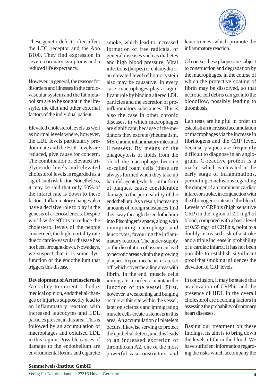

These genetic defects often affect the LDL receptor and the Apo B100. They find expression in severe coronary symptoms and a reduced life expectancy.

However, in general, the reasons for disorders and illnesses in the cardiovascular system and the fat metabolism are to be sought in the lifestyle, the diet and other external factors of the individual patient.

Elevated cholesterol levels as well as normal levels where, however, the LDL levels particularly predominate and the HDL levels are reduced, give cause for concern. The combination of elevated triglyceride levels and elevated cholesterol levels is regarded as a significant risk factor. Nonetheless, it may be said that only 50% of the infarct rate is down to these factors. Inflammatory changes also have a decisive role to play in the genesis of arteriosclerosis. Despite world-wide efforts to reduce the cholesterol levels of the people concerned, the high mortality rate due to cardio-vascular disease has not been brought down. Nowadays, we suspect that it is some dysfunction of the endothelium that triggers this disease.

## **Development of Arteriosclerosis**

According to current orthodox medical opinion, endothelial changes or injuries supposedly lead to an inflammatory reaction with increased leucocytes and LDL particles present in this area. This is followed by an accumulation of macrophages and oxidised LDL in this region. Possible causes of damage to the endothelium are environmental toxins and cigarette

smoke, which lead to increased formation of free radicals, or general diseases such as diabetes and high blood pressure. Viral infections (herpes) or chlamydia or an elevated level of homocystein also may be causative. In every case, macrophages play a significant role by binding altered LDL particles and the excretion of proinflammatory substances. This is also the case in other chronic diseases, in which macrophages are significant, because of the mediators they excrete (rheumatism, MS, chronic inflammatory intestinal illnesses). By means of the phagocytosis of lipids from the blood, the macrophages become so-called foam cells (these are always formed when they take up harmful agents), which – in the form of plaques, cause considerable damage to the permeability of the endothelium. As a result, increasing amounts of foreign substances find their way through the endothelium into Pischinger's space, along with immigrating macrophages and leucocytes, favouring the inflammatory reaction. The under-supply or the dissolution of tissue can lead to necrotic areas within the growing plaques. Repair mechanisms are set off, which cover the ailing areas with fibrin. In the end, muscle cells immigrate, in order to maintain the function of the vessel. First, however, a weakening and bulging occurs at this site within the vessel; later on sclerosis and immigrating muscle cells create a stenosis in this area. An accumulation of platelets occurs, likewise serving to protect the epithelial defect, and this leads to an increased excretion of thromboxan A2, one of the most powerful vasoconstrictors, and

leucotrienes, which promote the inflammatory reaction.

Of course, these plaques are subject to construction and degradation by the macrophages, in the course of which the protective coating of fibrin may be dissolved, so that necrotic cell debris can get into the bloodflow, possibly leading to thrombosis.

Lab tests are helpful in order to establish an increased accumulation of macrophages via the increase in fibrinogens and the CRP level, because plaques are frequently difficult to diagnose in an angiogram. C-reactive protein is a marker which is elevated in the early stage of inflammations, permitting conclusions regarding the danger of an imminent cardiac infarct or stroke, in conjunction with the fibrinogen content of the blood. Levels of CRPhis (high sensitive CRP) in the region of 2.1 mg/l of blood, compared with a basic level of 0.55 mg/l of CRPhis, point to a doubly increased risk of a stroke and a triple increase in probability of a cardiac infarct. It has not been possible to establish significant proof that smoking influences the elevation of CRP levels.

In conclusion, it may be stated that an elevation of CRPhis and the presence of HDL in the overall cholesterol are deciding factors in assessing the probability of coronary heart diseases.

Basing our treatment on these findings, its aim is to bring down the levels of fat in the blood. We have sufficient information regarding the risks which accompany the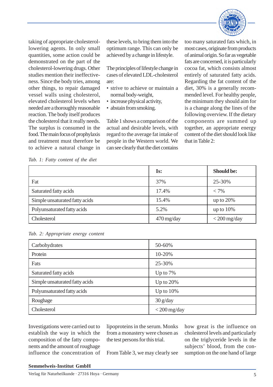

taking of appropriate cholesterollowering agents. In only small quantities, some action could be demonstrated on the part of the cholesterol-lowering drugs. Other studies mention their ineffectiveness. Since the body tries, among other things, to repair damaged vessel walls using cholesterol, elevated cholesterol levels when needed are a thoroughly reasonable reaction. The body itself produces the cholesterol that it really needs. The surplus is consumed in the food. The main focus of prophylaxis and treatment must therefore be to achieve a natural change in

these levels, to bring them into the optimum range. This can only be achieved by a change in lifestyle.

The principles of lifestyle change in cases of elevated LDL-cholesterol are:

- strive to achieve or maintain a normal body-weight,
- increase physical activity,
- abstain from smoking.

Table 1 shows a comparison of the actual and desirable levels, with regard to the average fat intake of people in the Western world. We can see clearly that the diet contains

too many saturated fats which, in most cases, originate from products of animal origin. So far as vegetable fats are concerned, it is particularly cocoa fat, which consists almost entirely of saturated fatty acids. Regarding the fat content of the diet, 30% is a generally recommended level. For healthy people, the minimum they should aim for is a change along the lines of the following overview. If the dietary components are summed up together, an appropriate energy content of the diet should look like that in Table 2:

*Tab. 1: Fatty content of the diet*

|                                | Is:                     | <b>Should be:</b> |
|--------------------------------|-------------------------|-------------------|
| Fat                            | 37%                     | 25-30%            |
| Saturated fatty acids          | 17.4%                   | $< 7\%$           |
| Simple unsaturated fatty acids | 15.4%                   | up to $20%$       |
| Polyunsaturated fatty acids    | 5.2%                    | up to $10\%$      |
| Cholesterol                    | $470 \,\mathrm{mg/day}$ | $<$ 200 mg/day    |

|  |  | Tab. 2: Appropriate energy content |  |  |
|--|--|------------------------------------|--|--|
|--|--|------------------------------------|--|--|

| Carbohydrates                  | 50-60%         |
|--------------------------------|----------------|
| Protein                        | 10-20%         |
| Fats                           | 25-30%         |
| Saturated fatty acids          | Up to $7%$     |
| Simple unsaturated fatty acids | Up to $20%$    |
| Polyunsaturated fatty acids    | Up to $10\%$   |
| Roughage                       | $30$ g/day     |
| Cholesterol                    | $<$ 200 mg/day |

Investigations were carried out to establish the way in which the composition of the fatty components and the amount of roughage influence the concentration of lipoproteins in the serum. Monks from a monastery were chosen as the test persons for this trial.

From Table 3, we may clearly see

how great is the influence on cholesterol levels and particularly on the triglyceride levels in the subjects' blood, from the consumption on the one hand of large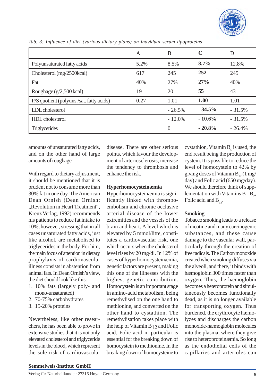

|                                          | A    | B         | $\mathbf C$ | D        |
|------------------------------------------|------|-----------|-------------|----------|
| Polyunsaturated fatty acids              | 5.2% | 8.5%      | 8.7%        | 12.8%    |
| Cholesterol (mg/2500kcal)                | 617  | 245       | 252         | 245      |
| Fat                                      | 40%  | 27%       | 27%         | 40%      |
| Roughage $(g/2,500 \text{ kcal})$        | 19   | 20        | 55          | 43       |
| P/S quotient (polyuns./sat. fatty acids) | 0.27 | 1.01      | 1.00        | 1.01     |
| LDL cholesterol                          |      | $-26.5%$  | $-34.5%$    | $-31.5%$ |
| HDL cholesterol                          |      | $-12.0\%$ | $-10.6\%$   | $-31.5%$ |
| <b>Triglycerides</b>                     |      | 0         | $-20.8%$    | $-26.4%$ |

*Tab. 3: Influence of diet (various dietary plans) on indvidual serum lipoproteins*

amounts of unsaturated fatty acids, and on the other hand of large amounts of roughage.

With regard to dietary adjustment, it should be mentioned that it is prudent not to consume more than 30% fat in one day. The American Dean Ornish (Dean Ornish: "Revolution in Heart Treatment", Kreuz Verlag, 1992) recommends his patients to reduce fat intake to 10%, however, stressing that in all cases unsaturated fatty acids, just like alcohol, are metabolised to triglycerides in the body. For him, the main focus of attention in dietary prophylaxis of cardiovascular illness consists in abstention from animal fats. In Dean Ornish's view, the diet should look like this:

- 1. 10% fats (largely poly- and mono-unsaturated)
- 2. 70-75% carbohydrates
- 3. 15-20% proteins

Nevertheless, like other researchers, he has been able to prove in extensive studies that it is not only elevated cholesterol and triglyceride levels in the blood, which represent the sole risk of cardiovascular

disease. There are other serious points, which favour the development of arteriosclerosis, increase the tendency to thrombosis and enhance the risk.

## **Hyperhomocysteinæmia**

Hyperhomocysteinæmia is significantly linked with thromboembolism and chronic occlusive arterial disease of the lower extremities and the vessels of the brain and heart. A level which is elevated by 5 mmol/litre, constitutes a cardiovascular risk, one which occurs when the cholesterol level rises by 20 mg/dl. In 12% of cases of hyperhomocysteinæmia, genetic factors are present, making this one of the illnesses with the highest genetic contribution. Homocystein is an important stage in amino-acid metabolism, being remethylised on the one hand to methionine, and converted on the other hand to cystathion. The remethylisation takes place with the help of Vitamin  $B_{12}$  and Folic acid. Folic acid in particular is essential for the breaking down of homocystein to methionine. In the breaking down of homocysteine to

cystathion, Vitamin  $B_{\delta}$  is used, the end result being the production of cystein. It is possible to reduce the level of homocystein to 42% by giving doses of Vitamin  $B_{12}$  (1 mg/ day) and Folic acid (650 mg/day). We should therefore think of supplementation with Vitamins  $B_6$ ,  $B_2$ , Folic acid and  $B_{12}$ .

# **Smoking**

Tobacco smoking leads to a release of nicotine and many carcinogenic substances, and these cause damage to the vascular wall, particularly through the creation of free radicals. The Carbon monoxide created when smoking diffuses via the alveoli, and there, it binds with hæmoglobin 300 times faster than oxygen. Thus, the hæmoglobin becomes a heteroprotein and simultaneously becomes functionally dead, as it is no longer available for transporting oxygen. Thus burdened, the erythrocyte hæmolyzes and discharges the carbon monoxide-hæmoglobin molecules into the plasma, where they give rise to heteroproteinæmia. So long as the endothelial cells of the capillaries and arterioles can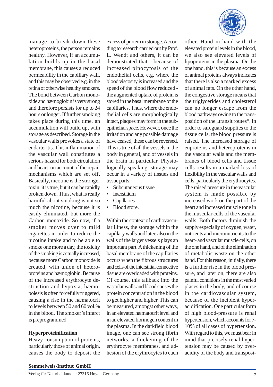manage to break down these heteroproteins, the person remains healthy. However, if an accumulation builds up in the basal membrane, this causes a reduced permeability in the capillary wall, and this may be observed e.g. in the retina of otherwise healthy smokers. The bond between Carbon monoxide and hæmoglobin is very strong and therefore persists for up to 24 hours or longer. If further smoking takes place during this time, an accumulation will build up, with storage as described. Storage in the vascular walls provokes a state of endarteritis. This inflammation of the vascular wall constitutes a serious hazard for both circulation and heart, on account of the repair mechanisms which are set off. Basically, nicotine is the stronger toxin, it is true, but it can be rapidly broken down. Thus, what is really harmful about smoking is not so much the nicotine, because it is easily eliminated, but more the Carbon monoxide. So now, if a smoker moves over to mild cigarettes in order to reduce the nicotine intake and to be able to smoke one more a day, the toxicity of the smoking is actually increased, because more Carbon monoxide is created, with union of heteroproteins and hæmoglobin. Because of the increased erythrocyte destruction and hypoxia, hæmopoiesis is often forcefully triggered, causing a rise in the hæmatocrit to levels between 50 and 60 vol.% in the blood. The smoker's infarct is preprogrammed.

#### **Hyperproteinification**

Heavy consumption of proteins, particularly those of animal origin, causes the body to deposit the excess of protein in storage. According to research carried out by Prof. L. Wendt and others, it can be demonstrated that - because of increased pinocytosis of the endothelial cells, e.g. where the blood viscosity is increased and the speed of the blood flow reduced the augmented uptake of protein is stored in the basal membrane of the capillaries. Thus, where the endothelial cells are morphologically intact, plaques may form in the subepithelial space. However, once the irritation and any possible damage have ceased, these can be reversed. This is true of all the vessels in the body in general, and of vessels in the brain in particular. Physiologically speaking, storage may occur in a variety of tissues and tissue parts:

- Subcutaneous tissue
- **Interstitium**
- **Capillaries**
- Blood store.

Within the context of cardiovascular illness, the storage within the capillary walls and later, also in the walls of the larger vessels plays an important part. A thickening of the basal membrane of the capillaries occurs when the fibrous structures and cells of the interstitial connective tissue are overloaded with proteins. Of course, this tailback into the vascular walls and blood causes the protein concentration in the blood to get higher and higher. This can be measured, amongst other ways, in an elevated hæmatocrit level and in an elevated fibrinogen content in the plasma. In the darkfield blood image, one can see strong fibrin networks, a thickening of the erythrocyte membranes, and adhesion of the erythrocytes to each



other. Hand in hand with the elevated protein levels in the blood, we also see elevated levels of lipoproteins in the plasma. On the one hand, this is because an excess of animal proteins always indicates that there is also a marked excess of animal fats. On the other hand, the congestive storage means that the triglycerides and cholesterol can no longer escape from the blood pathways owing to the transposition of the "transit routes". In order to safeguard supplies to the tissue cells, the blood pressure is raised. The increased storage of euproteins and heteroproteins in the vascular walls and the membranes of blood cells and tissue cells results in a marked loss of flexibility in the vascular walls and cells, particularly the erythrocytes. The raised pressure in the vascular system is made possible by increased work on the part of the heart and increased muscle tone in the muscular cells of the vascular walls. Both factors diminish the supply especially of oxygen, water, nutrients and micronutrients to the heart- and vascular muscle cells, on the one hand, and of the elimination of metabolic waste on the other hand. For this reason, initially, there is a further rise in the blood pressure, and later on, there are also painful conditions in the most varied places in the body, and of course in the cardiovascular system, because of the incipient hyperacidification. One particular form of high blood-pressure is renal hypertension, which accounts for 7- 10% of all cases of hypertension. With regard to this, we must bear in mind that precisely renal hypertension may be caused by overacidity of the body and transposi-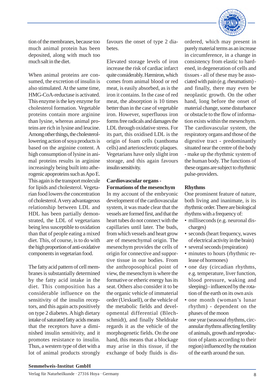

tion of the membranes, because too much animal protein has been deposited, along with much too much salt in the diet.

When animal proteins are consumed, the excretion of insulin is also stimulated. At the same time, HMG-CoA-reductase is activated. This enzyme is the key enzyme for cholesterol formation. Vegetable proteins contain more arginine than lysine, whereas animal proteins are rich in lysine and leucine. Among other things, the cholesterollowering action of soya products is based on the arginine content. A high consumption of lysine in animal proteins results in arginine increasingly being built into atherogenic apoproteins such as Apo E. This again is the transport molecule for lipids and cholesterol. Vegetarian food lowers the concentration of cholesterol. A very advantageous relationship between LDL and HDL has been partially demonstrated, the LDL of vegetarians being less susceptible to oxidation than that of people eating a mixed diet. This, of course, is to do with the high proportion of anti-oxidative components in vegetarian food.

The fatty acid pattern of cell membranes is substantially determined by the fatty acid intake in the diet. This composition has a considerable influence on the sensitivity of the insulin receptors, and this again acts positively on type 2 diabetes. A high dietary intake of saturated fatty acids means that the receptors have a diminished insulin sensitivity, and it promotes resistance to insulin. Thus, a western type of diet with a lot of animal products strongly

favours the onset of type 2 diabetes.

Elevated storage levels of iron increase the risk of cardiac infarct quite considerably. Hæmiron, which comes from animal blood or red meat, is easily absorbed, as is the iron it contains. In the case of red meat, the absorption is 10 times better than in the case of vegetable iron. However, superfluous iron forms free radicals and damages the LDL through oxidative stress. For its part, this oxidised LDL is the origin of foam cells (xanthoma cells) and arteriosclerotic plaques. Vegetarians have only slight iron storage, and this again favours insulin sensitivity.

# **Cardiovascular organs - Formations of the mesenchym**

In my account of the embryonic development of the cardiovascular system, it was made clear that the vessels are formed first, and that the heart tubes do not connect with the capillaries until later. The buds, from which vessels and heart grow are of mesenchymal origin. The mesenchym provides the cells of origin for connective and supportive tissue in our bodies. From the anthroposophical point of view, the mesenchym is where the formative or etheric energy has its seat. Others also consider it to be the organic vehicle of immaterial order (Uexkuell), or the vehicle of the metabolic fields and developmental differential (Blechschmidt), and finally Sheldrake regards it as the vehicle of the morphogenetic fields. On the one hand, this means that a blockage may arise in this tissue, if the exchange of body fluids is disordered, which may present in purely material terms as an increase in circumference, in a change in consistency from elastic to hardened, in degeneration of cells and tissues - all of these may be associated with pain (e.g. rheumatism) and finally, there may even be neoplastic growth. On the other hand, long before the onset of material change, some disturbance or obstacle to the flow of information exists within the mesenchym. The cardiovascular system, the respiratory organs and those of the digestive tract - predominantly situated near the centre of the body - make up the rhythmic system of the human body. The functions of these organs are subject to rhythmic pulse-providers.

# **Rhythms**

One prominent feature of nature, both living and inanimate, is its rhythmic order. There are biological rhythms with a frequency of:

- milliseconds (e.g. neuronal discharges)
- seconds (heart frequency, waves of electrical activity in the brain)
- several seconds (respiration)
- minutes to hours (rhythmic release of hormones)
- one day (circadian rhythms, e.g. temperature, liver function, blood pressure, waking and sleeping) - influenced by the rotation of the earth on its own axis
- one month (woman's lunar rhythm) - dependent on the phases of the moon
- one year (seasonal rhythms, circannular rhythms affecting fertility of animals, growth and reproduction of plants according to their region) influenced by the rotation of the earth around the sun.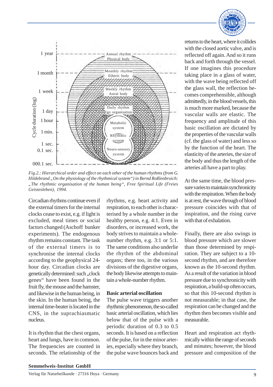



*Fig.2.: Hierarchical order and effect on each other of the human rhythms (from G. Hildebrand "On the physiology of the rhythmical system") in Bernd Roßlenbroich: "The rhythmic organisation of the human being", Free Spiritual Life (Freies Geistesleben), 1994.*

Circadian rhythms continue even if the external timers for the internal clocks cease to exist, e.g. if light is excluded, meal times or social factors changed (Aschoff bunker experiments). The endogenous rhythm remains constant. The task of the external timers is to synchronise the internal clocks according to the geophysical 24 hour day. Circadian clocks are genetically determined: such ,,clock genes" have been found in the fruit fly, the mouse and the hamster, and likewise in the human being, in the skin. In the human being, the internal time-beater is located in the CNS, in the suprachiasmatic nucleus.

It is rhythm that the chest organs, heart and lungs, have in common. The frequencies are counted in seconds. The relationship of the

rhythms, e.g. heart activity and respiration, to each other is characterised by a whole number in the healthy person, e.g. 4:1. Even in disorders, or increased work, the body strives to maintain a wholenumber rhythm, e.g. 3:1 or 5:1. The same conditions also underlie the rhythm of the abdominal organs; there too, in the various divisions of the digestive organs, the body likewise attempts to maintain a whole-number rhythm.

#### **Basic arterial oscillation**

The pulse wave triggers another rhythmic phenomenon, the so-called basic arterial oscillation, which lies below that of the pulse with a periodic duration of 0.3 to 0.5 seconds. It is based on a reflection of the pulse, for in the minor arteries, especially where they branch, the pulse wave bounces back and

returns to the heart, where it collides with the closed aortic valve, and is reflected off again. And so it runs back and forth through the vessel. If one imagines this procedure taking place in a glass of water, with the wave being reflected off the glass wall, the reflection becomes comprehensible, although admittedly, in the blood vessels, this is much more marked, because the vascular walls are elastic. The frequency and amplitude of this basic oscillation are dictated by the properties of the vascular walls (cf. the glass of water) and less so by the function of the heart. The elasticity of the arteries, the size of the body and thus the length of the arteries all have a part to play.

At the same time, the blood pressure varies to maintain synchronicity with the respiration. When the body is at rest, the wave through of blood pressure coincides with that of inspiration, and the rising curve with that of exhalation.

Finally, there are also swings in blood pressure which are slower than those determined by respiration. They are subject to a 10 second rhythm, and are therefore known as the 10-second rhythm. As a result of the variation in blood pressure due to synchronicity with respiration, a build-up often occurs, so that this 10-second rhythm is not measurable; in that case, the respiration can be changed and the rhythm then becomes visible and measurable.

Heart and respiration act rhythmically within the range of seconds and minutes; however, the blood pressure and composition of the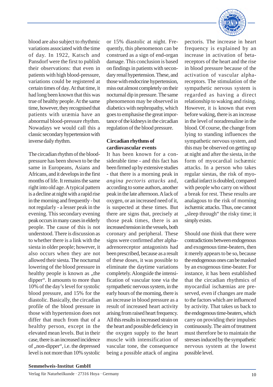blood are also subject to rhythmic variations associated with the time of day. In 1922, Katsch and Pansdorf were the first to publish their observations: that even in patients with high blood-pressure, variations could be registered at certain times of day. At that time, it had long been known that this was true of healthy people. At the same time, however, they recognised that patients with uræmia have an abnormal blood-pressure rhythm. Nowadays we would call this a classic secondary hypertension with inverse daily rhythm.

The circadian rhythm of the bloodpressure has been shown to be the same in Europeans, Asians and Africans, and it develops in the first months of life. It remains the same right into old age. A typical pattern is a decline at night with a rapid rise in the morning and frequently - but not regularly - a lesser peak in the evening. This secondary evening peak occurs in many cases in elderly people. The cause of this is not understood. There is discussion as to whether there is a link with the siesta in older people; however, it also occurs when they are not allowed their siesta. The nocturnal lowering of the blood pressure in healthy people is known as "the dipper". It amounts to more than 10% of the day's level for systolic blood pressure, and 15% for the diastolic. Basically, the circadian profile of the blood pressure in those with hypertension does not differ that much from that of a healthy person, except in the elevated mean levels. But in their case, there is an increased incidence of ,,non-dipper", i.e. the depressed level is not more than 10% systolic

or 15% diastolic at night. Frequently, this phenomenon can be construed as a sign of end-organ damage. This conclusion is based on findings in patients with secondary renal hypertension. These, and those with endocrine hypertension, miss out almost completely on their nocturnal dip in pressure. The same phenomenon may be observed in diabetics with nephropathy, which goes to emphasise the great importance of the kidneys in the circadian regulation of the blood pressure.

# **Circadian rhythms of cardiovascular events**

It has been known for a considerable time - and this fact has been firmed up by extensive studies - that there is a morning peak in *angina pectoris attacks* and, according to some authors, another peak in the late afternoon. A lack of oxygen, or an increased need of it, is suspected at these times. But there are signs that, precisely at those peak times, there is an increased tension in the vessels, both coronary and peripheral. These signs were confirmed after alphaadrenoreceptor antagonists had been prescribed, because as a result of these doses, it was possible to eliminate the daytime variations completely. Alongside the intensification of vascular tone via the sympathetic nervous system, in the early hours of the morning, there is an increase in blood pressure as a result of increased heart activity arising from raised heart frequency. All this results in increased strain on the heart and possible deficiency in the oxygen supply to the heart muscle with intensification of vascular tone, the consequence being a possible attack of angina



pectoris. The increase in heart frequency is explained by an increase in activation of betareceptors of the heart and the rise in blood pressure because of the activation of vascular alphareceptors. The stimulation of the sympathetic nervous system is regarded as having a direct relationship to waking and rising. However, it is known that even before waking, there is an increase in the level of noradrenaline in the blood. Of course, the change from lying to standing influences the sympathetic nervous system, and this may be observed on getting up at night and after the siesta, in the form of myocardial ischæmic attacks. In a person who takes regular siestas, the risk of myocardial infarct is doubled, compared with people who carry on without a break for rest. These results are analagous to the risk of morning ischæmic attacks. Thus, one cannot "sleep through" the risky time; it simply exists.

Should one think that there were contradictions between endogenous and exogenous time-beaters, then it merely appears to be so, because the endogenous ones can be masked by an exogenous time-beater. For instance, it has been established that the circadian rhythmics of myocardial ischæmias are preserved, even if changes are made to the factors which are influenced by activity. That takes us back to the endogenous time-beaters, which carry on providing their impulses continuously. The aim of treatment must therefore be to maintain the stresses induced by the sympathetic nervous system at the lowest possible level.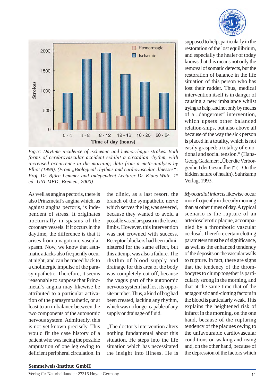

*Fig.3: Daytime incidence of ischæmic and hæmorrhagic strokes. Both forms of cerebrovascular accident exhibit a circadian rhythm, with increased occurrence in the morning; data from a meta-analysis by Elliot (1998). (From "Biological rhythms and cardiovascular illnesses": Prof. Dr. Björn Lemmer and Independent Lecturer Dr. Klaus Witte, 1st ed. UNI-MED, Bremen, 2000)*

As well as angina pectoris, there is also Prinzmetal's angina which, as against angina pectoris, is independent of stress. It originates nocturnally in spasms of the coronary vessels. If it occurs in the daytime, the difference is that it arises from a vagotonic vascular spasm. Now, we know that asthmatic attacks also frequently occur at night, and can be traced back to a cholinergic impulse of the parasympathetic. Therefore, it seems reasonable to suppose that Prinzmetal's angina may likewise be attributed to a particular activation of the parasympathetic, or at least to an imbalance between the two components of the autonomic nervous system. Admittedly, this is not yet known precisely. This would fit the case history of a patient who was facing the possible amputation of one leg owing to deficient peripheral circulation. In

the clinic, as a last resort, the branch of the sympathetic nerve which serves the leg was severed, because they wanted to avoid a possible vascular spasm in the lower limbs. However, this intervention was not crowned with success. Receptor-blockers had been administered for the same effect, but this attempt was also a failure. The rhythm of blood supply and drainage for this area of the body was completely cut off, because the vagus part of the autonomic nervous system had lost its opposite number. Thus, a kind of bog had been created, lacking any rhythm, which was no longer capable of any supply or drainage of fluid.

"The doctor's intervention alters nothing fundamental about this situation. He steps into the life situation which has necessitated the insight into illness. He is supposed to help, particularly in the restoration of the lost equilibrium, and especially the healer of today knows that this means not only the removal of somatic defects, but the restoration of balance in the life situation of this person who has lost their rudder. Thus, medical intervention itself is in danger of causing a new imbalance whilst trying to help, and not only by means of a "dangerous" intervention. which upsets other balanced relation-ships, but also above all because of the way the sick person is placed in a totality, which is not easily grasped: a totality of emotional and social tension." (Hans-Georg Gadamer: "Über die Verborgenheit der Gesundheit" (= On the hidden nature of health). Suhrkamp Verlag, 1993.

*Myocardial infarcts* likewise occur more frequently in the early morning than at other times of day. A typical scenario is the rupture of an arteriosclerotic plaque, accompanied by a thrombotic vascular occlusal. Therefore certain clotting parameters must be of significance, as well as the enhanced tendency of the deposits on the vascular walls to rupture. In fact, there are signs that the tendency of the thrombocytes to clump together is particularly strong in the morning, and that at the same time that of the antagonistic anti-clotting factors in the blood is particularly weak. This explains the heightened risk of infarct in the morning, on the one hand, because of the rupturing tendency of the plaques owing to the unfavourable cardiovascular conditions on waking and rising and, on the other hand, because of the depression of the factors which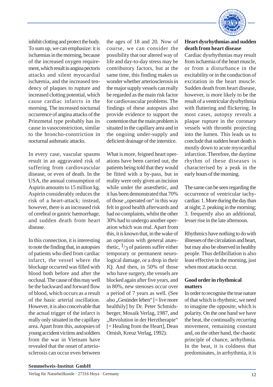inhibit clotting and protect the body. To sum up, we can emphasize: it is ischæmias in the morning, because of the increased oxygen requirement, which result in angina pectoris attacks and silent myocardial ischæmia, and the increased tendency of plaques to rupture and increased clotting potential, which cause cardiac infarcts in the morning. The increased nocturnal occurrence of angina attacks of the Prinzmetal type probably has its cause in vasoconstriction, similar to the broncho-constriction in nocturnal asthmatic attacks.

In every case, vascular spasms result in an aggravated risk of suffering from cardiovascular disease, or even of death. In the USA, the annual consumption of Aspirin amounts to 15 million kg. Aspirin considerably reduces the risk of a heart-attack; instead, however, there is an increased risk of cerebral or gastric hæmorrhage, and sudden death from heart disease.

In this connection, it is interesting to note the finding that, in autopsies of patients who died from cardiac infarct, the vessel where the blockage occurred was filled with blood both before and after the occlusal. The cause of this may well be the backward and forward flow of blood, which occurs as a result of the basic arterial oscillation. However, it is also conceivable that the actual trigger of the infarct is really only situated in the capillary area. Apart from this, autopsies of young accident victims and soldiers from the war in Vietnam have revealed that the onset of arteriosclerosis can occur even between the ages of 18 and 20. Now of course, we can consider the possibility that our altered way of life and day-to-day stress may be contributory factors, but at the same time, this finding makes us wonder whether arteriosclerosis in the major supply vessels can really be regarded as the main risk factor for cardiovascular problems. The findings of these autopsies also provide evidence to support the contention that the main problem is situated in the capillary area and in the ongoing under-supply and deficient drainage of the interstice.

What is more, feigned heart operations have been carried out, the patients being told that they would be fitted with a by-pass, but in reality were only given an incision while under the anæsthetic, and it has been demonstrated that 70% of those ..operated on" in this way felt in good health afterwards and had no complaints, whilst the other 30% had to undergo another operation which was real. Apart from this, it is known that, in the wake of an operation with general anæsthetic,  $\frac{1}{3}$  of patients suffer either temporary or permanent neurological damage, or a drop in their IQ. And then, in 50% of those who have surgery, the vessels are blocked again after five years, and in 80%, new stenoses occur over a period of 7 years as well. (See also "Gesünder leben" [= live more healthily] by Dr. Peter Schmidsberger, Mosaik Verlag, 1987, and "Revolution in der Herztherapie" [= Healing from the Heart], Dean Ornish, Kreuz Verlag, 1992).



## **Heart dysrhythmias and sudden death from heart disease**

Cardiac dysrhythmias may result from ischæmia of the heart muscle, or from a disturbance in the excitability or in the conduction of excitation in the heart muscle. Sudden death from heart disease, however, is more likely to be the result of a ventricular dysrhythmia with fluttering and flickering. In most cases, autopsy reveals a plaque rupture in the coronary vessels with thrombi projecting into the lumen. This leads us to conclude that sudden heart death is mostly down to acute myocardial infarction. Therefore, the daytime rhythm of these diseases is characterised by a peak in the early hours of the morning.

The same can be seen regarding the occurrence of ventricular tachycardias: 1. More during the day than at night; 2. peaking in the morning; 3. frequently also an additional, lesser rise in the late afternoon.

Rhythmics have nothing to do with illnesses of the circulation and heart, but may also be observed in healthy people. Thus defibrillation is also least effective in the morning, just when most attacks occur.

## **Good order in rhythmical matters**

In order to recognise the true nature of that which is rhythmic, we need to imagine the opposite, which is polarity. On the one hand we have the beat, the continually recurring movement, remaining constant and, on the other hand, the chaotic principle of chance, arrhythmia. In the beat, it is coldness that predominates, in arrhythmia, it is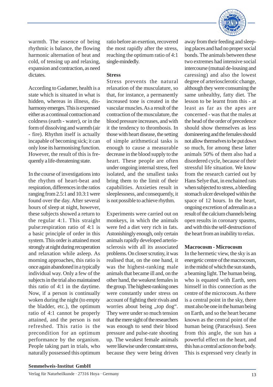

warmth. The essence of being rhythmic is balance, the flowing harmonic alternation of heat and cold, of tensing up and relaxing, expansion and contraction, as need dictates.

According to Gadamer, health is a state which is situated in what is hidden, whereas in illness, disharmony emerges. This is expressed either as a continual contraction and coldness (earth - water), or in the form of dissolving and warmth (air - fire). Rhythm itself is actually incapable of becoming sick; it can only lose its harmonising function. However, the result of this is frequently a life-threatening state.

In the course of investigations into the rhythm of heart-beat and respiration, differences in the ratios ranging from 2.5:1 and 10.3:1 were found over the day. After several hours of sleep at night, however, these subjects showed a return to the regular 4:1. This straight pulse:respiration ratio of 4:1 is a basic principle of order in this system. This order is attained most strongly at night during recuperation and relaxation while asleep. As morning approaches, this ratio is once again abandoned in a typically individual way. Only a few of the subjects in the trial also maintained this ratio of 4:1 in the daytime. Now, if a person is continually woken during the night (to empty the bladder, etc.), the optimum ratio of 4:1 cannot be properly attained, and the person is not refreshed. This ratio is the precondition for an optimum performance by the organism. People taking part in trials, who naturally possessed this optimum

ratio before an exertion, recovered the most rapidly after the stress, reaching the optimum ratio of 4:1 single-mindedly.

## **Stress**

Stress prevents the natural relaxation of the musculature, so that, for instance, a permanently increased tone is created in the vascular muscles. As a result of the contraction of the musculature, the blood pressure increases, and with it the tendency to thrombosis. In those with heart disease, the setting of simple arithmetical tasks is enough to cause a measurable decrease in the blood supply to the heart. These people are often under ongoing internal stress, feel isolated, and the smallest tasks bring them to the limit of their capabilities. Anxieties result in sleeplessness, and consequently, it is not possible to achieve rhythm.

Experiments were carried out on monkeys, in which the animals were fed a diet very rich in fats. Astonishingly enough, only certain animals rapidly developed arteriosclerosis with all its associated problems. On closer scrutiny, it was realised that, on the one hand, it was the highest-ranking male animals that became ill and, on the other hand, the weakest females in the group. The highest-ranking ones were constantly under stress on account of fighting their rivals and worries about being "top dog". They were under so much tension that the mere sight of the researchers was enough to send their blood pressure and pulse-rate shooting up. The weakest female animals were likewise under constant stress, because they were being driven

away from their feeding and sleeping places and had no proper social bonds. The animals between these two extremes had intensive social intercourse (mutual de-lousing and caressing) and also the lowest degree of arteriosclerotic change, although they were consuming the same unhealthy, fatty diet. The lesson to be learnt from this - at least as far as the apes are concerned - was that the males at the head of the order of precedence should show themselves as less domineering and the females should not allow themselves to be put down so much, for among these latter animals 50% of them also had a disordered cycle, because of their stressful life situation. We know from the research carried out by Hans Selye that, in enchained rats when subjected to stress, a bleeding stomach ulcer developed within the space of 12 hours. In the heart, ongoing excretion of adrenalin as a result of the calcium channels being open results in coronary spasms, and with this the self-destruction of the heart from an inability to relax.

# **Macrocosm - Microcosm**

In the hermetic view, the sky is an energetic centre of the macrocosm, in the midst of which the sun stands, a beaming light. The human being, who is equated with Earth, sees himself in this connection as the centre of the microcosm. As there is a central point in the sky, there must also be one in the human being on Earth, and so the heart became known as the central point of the human being (Paracelsus). Seen from this angle, the sun has a powerful effect on the heart, and this has a central action on the body. This is expressed very clearly in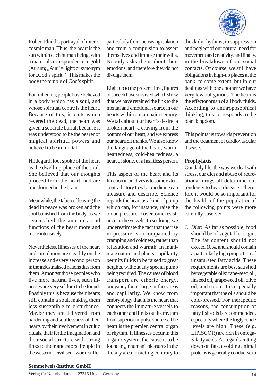

Robert Fludd's portrayal of microcosmic man. Thus, the heart is the sun within each human being, with a material correspondence in gold  $(Aurum; \dots, Aur' = light; or synonym)$ for "God's spirit"). This makes the body the temple of God's spirit.

For millennia, people have believed in a body which has a soul, and whose spiritual centre is the heart. Because of this, in cults which revered the dead, the heart was given a separate burial, because it was understood to be the bearer of magical spiritual powers and believed to be immortal.

Hildegard, too, spoke of the heart as the dwelling-place of the soul. She believed that our thoughts proceed from the heart, and are transformed in the brain.

Meanwhile, the taboo of leaving the dead in peace was broken and the soul banished from the body, as we researched the anatomy and functions of the heart more and more intensively.

Nevertheless, illnesses of the heart and circulation are steadily on the increase and every second person in the industrialised nations dies from them. Amongst those peoples who live more natural lives, such illnesses are very seldom to be found. Possibly this is because their hearts still contain a soul, making them less susceptible to disturbance. Maybe they are delivered from hardening and soullessness of their hearts by their involvement in cultic rituals, their fertile imagination and their social structure with strong links to their ancestors. People in the western, "civilised" world suffer

particularly from increasing isolation and from a compulsion to assert themselves and impose their wills. Nobody asks them about their emotions, and therefore they do not divulge them.

Right up to the present time, figures of speech have survived which show that we have retained the link to the mental and emotional source in our hearts within our archaic memory. We talk about our heart's desire, a broken heart, a craving from the bottom of our heart, and we express our heartfelt thanks. We also know the language of the heart, warmheartedness, cold-heartedness, a heart of stone, or a heartless person.

This aspect of the heart and its function in our lives is to some extent contradictory to what medicine can measure and describe. Science regards the heart as a kind of pump which can, for instance, raise the blood pressure to overcome resistance in the vessels. In so doing, we underestimate the fact that the rise in pressure is accompanied by cramping and coldness, rather than relaxation and warmth. In inanimate nature and plants, capillarity permits fluids to be raised to great heights, without any special pump being required. The causes of blood transport are etheric energy, buoyancy force, large surface areas and capillarity. We know from embryology that it is the heart that connects the immature vessels to each other and finds out its rhythm from superior impulse sources. The heart is the premier, central organ of rhythm. If illnesses occur in this organic system, the cause is to be found in ,,inhuman" pleasures in the dietary area, in acting contrary to

the daily rhythms, in suppression and neglect of our natural need for movement and creativity, and finally, in the breakdown of our social contacts. Of course, we still have obligations in high-up places at the bank, to some extent, but in our dealings with one another we have very few obligations. The heart is the effector organ of all body fluids. According to anthroposophical thinking, this corresponds to the plant kingdom.

This points us towards prevention and the treatment of cardiovascular disease.

## **Prophylaxis**

Our daily life, the way we deal with stress, our diet and abuse of recreational drugs all determine our tendency to heart disease. Therefore it would be so important for the health of the population if the following points were more carefully observed.

*1. Diet*: As far as possible, food should be of vegetable origin. The fat content should not exceed 10%, and should contain a particularly high proportion of unsaturated fatty acids. These requirements are best satisfied by vegetable oils: rape-seed oil, linseed oil, grape-seed oil, olive oil, and so on. It is especially important that the oils should be cold-pressed. For therapeutic reasons, the consumption of fatty fish-oils is recommended, especially where the triglyceride levels are high. These (e.g. LIPISCOR) are rich in omega-3-fatty acids. As regards cutting down on fats, avoiding animal proteins is generally conducive to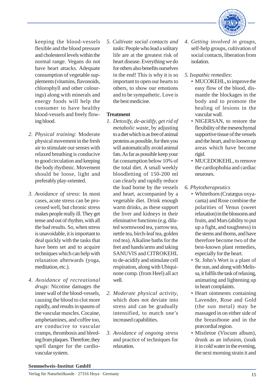

keeping the blood-vessels flexible and the blood pressure and cholesterol levels within the normal range. Vegans do not have heart attacks. Adequate consumption of vegetable supplements (vitamins, flavonoids, chlorophyll and other colourings) along with minerals and energy foods will help the consumer to have healthy blood-vessels and freely flowing blood.

- *2. Physical training*: Moderate physical movement in the fresh air to stimulate our senses with relaxed breathing is conducive to good circulation and keeping the body rhythmic. Movement should be loose, light and preferably play-oriented.
- *3. Avoidance of stress*: In most cases, acute stress can be processed well, but chronic stress makes people really ill. They get tense and out of rhythm, with all the bad results. So, when stress is unavoidable, it is important to deal quickly with the tasks that have been set and to acquire techniques which can help with relaxation afterwards (yoga, meditation, etc.).
- *4. Avoidance of recreational drugs*: Nicotine damages the inner wall of the blood-vessels, causing the blood to clot more rapidly, and results in spasms of the vascular muscles. Cocaine, amphetamines, and coffee too, are conducive to vascular cramps, thrombosis and bleeding from plaques. Therefore, they spell danger for the cardiovascular system.

*5. Cultivate social contacts and tasks*: People who lead a solitary life are at the greatest risk of heart disease. Everything we do for others also benefits ourselves in the end! This is why it is so important to open our hearts to others, to show our emotions and to be sympathetic. Love is the best medicine.

## **Treatment**

- *1. Detoxify, de-acidify, get rid of metabolic waste*, by adjusting to a diet which is as free of animal proteins as possible, for then you will automatically avoid animal fats. As far as possible keep your fat consumption below 10% of the total diet. A small weekly bloodletting of 150-200 ml can clearly and rapidly reduce the load borne by the vessels and heart, accompanied by a vegetable diet. Drink enough warm drinks, as these support the liver and kidneys in their eliminative functions (e.g. diluted wormwood tea, yarrow tea, nettle tea, birch-leaf tea, golden rod tea). Alkaline baths for the feet and hands/arms and taking SANUVIS and CITROKEHL to de-acidify and stimulate cell respiration, along with Ubiquinone comp. (from Heel) all act well.
- *2. Moderate physical activity*, which does not deviate into stress and can be gradually intensified, to match one's increased capabilities.
- *3. Avoidance of ongoing stress* and practice of techniques for relaxation.
- *4. Getting involved in groups*, self-help groups, cultivation of social contacts, liberation from isolation.
- *5. Isopathic remedies*:
	- MUCOKEHL, to improve the easy flow of the blood, dismantle the blockages in the body and to promote the healing of lesions in the vascular wall.
	- NIGERSAN, to restore the flexibility of the mesenchymal supportive tissue of the vessels and the heart, and to loosen up areas which have become rigid.
	- MUCEDOKEHL, to remove the cardiophobia and cardiac neuroses.
- *6. Phytotherapeutics*
	- Whitethorn (Cratægus oxyacanta) and Rose combine the polarities of Venus (sweet relaxation) in the blossoms and fruits, and Mars (ability to put up a fight, and toughness) in the stems and thorns, and have therefore become two of the best-known plant remedies, especially for the heart.
	- St. John's Wort is a plant of the sun, and along with Melissa, it fulfils the task of relaxing, animating and lightening up in heart complaints.
	- Heart ointments containing Lavender, Rose and Gold (the sun metal) may be massaged in on either side of the breastbone and in the præcordial region.
	- Mistletoe (Viscum album), drunk as an infusion, (soak it in cold water in the evening, the next morning strain it and